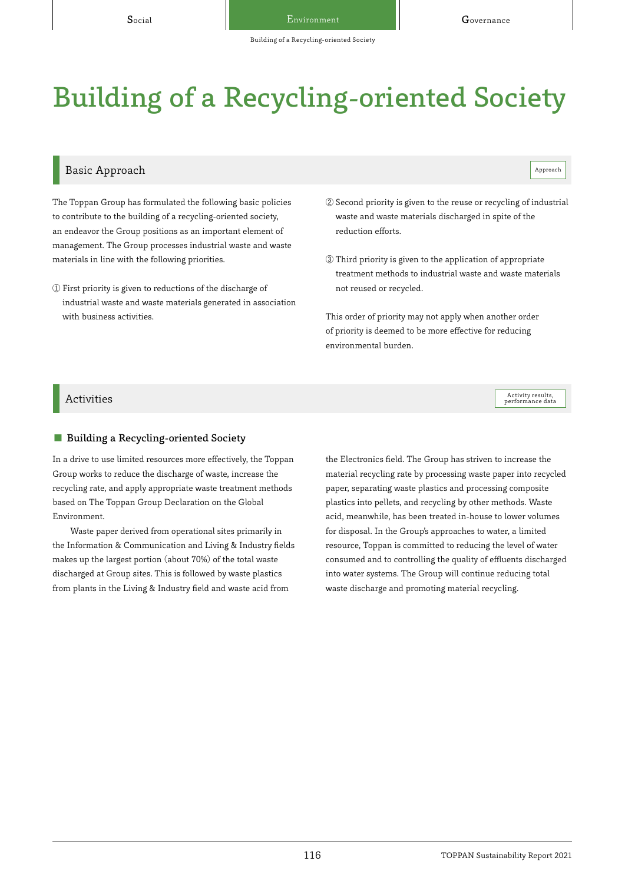# Building of a Recycling-oriented Society

# Building of a Recycling-oriented Society

### Basic Approach and the contract of the contract of the contract of the contract of the contract of the contract of the contract of the contract of the contract of the contract of the contract of the contract of the contrac

Activity results,<br>performance data

The Toppan Group has formulated the following basic policies to contribute to the building of a recycling-oriented society, an endeavor the Group positions as an important element of management. The Group processes industrial waste and waste materials in line with the following priorities.

- ① First priority is given to reductions of the discharge of industrial waste and waste materials generated in association with business activities.
- ② Second priority is given to the reuse or recycling of industrial waste and waste materials discharged in spite of the reduction efforts.
- ③ Third priority is given to the application of appropriate treatment methods to industrial waste and waste materials not reused or recycled.

This order of priority may not apply when another order of priority is deemed to be more effective for reducing environmental burden.

#### $\rm{Activity}$  ties  $\rm{Activity}$  results,

#### ■ Building a Recycling-oriented Society

In a drive to use limited resources more effectively, the Toppan Group works to reduce the discharge of waste, increase the recycling rate, and apply appropriate waste treatment methods based on The Toppan Group Declaration on the Global Environment.

Waste paper derived from operational sites primarily in the Information & Communication and Living & Industry fields makes up the largest portion (about 70%) of the total waste discharged at Group sites. This is followed by waste plastics from plants in the Living & Industry field and waste acid from

the Electronics field. The Group has striven to increase the material recycling rate by processing waste paper into recycled paper, separating waste plastics and processing composite plastics into pellets, and recycling by other methods. Waste acid, meanwhile, has been treated in-house to lower volumes for disposal. In the Group's approaches to water, a limited resource, Toppan is committed to reducing the level of water consumed and to controlling the quality of effluents discharged into water systems. The Group will continue reducing total waste discharge and promoting material recycling.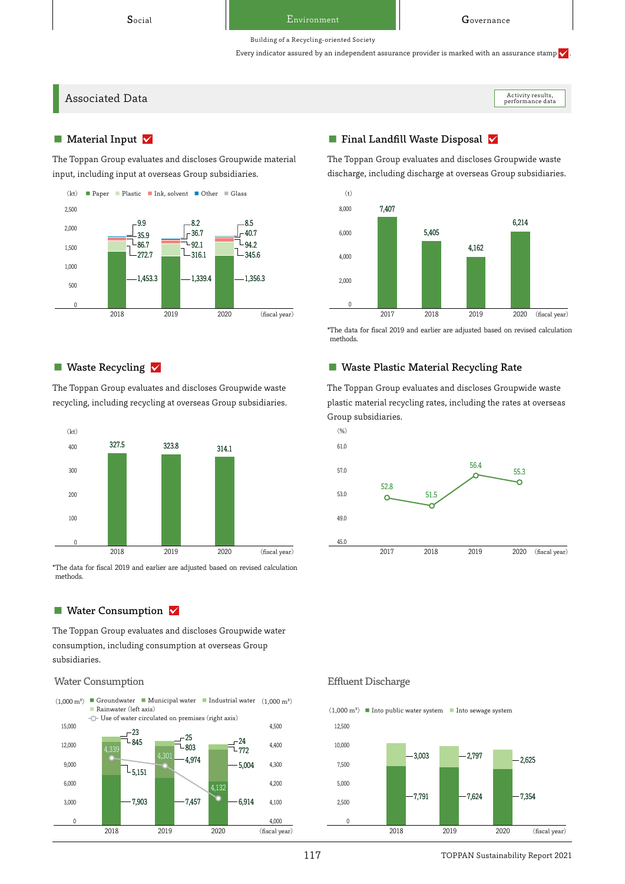#### Building of a Recycling-oriented Society

Every indicator assured by an independent assurance provider is marked with an assurance stamp  $\checkmark$ 

Associated Data

Activity results,<br>performance data

#### $\blacksquare$  Material Input  $\blacktriangledown$

The Toppan Group evaluates and discloses Groupwide material input, including input at overseas Group subsidiaries.



#### ■ Waste Recycling  $\sqrt{}$

The Toppan Group evaluates and discloses Groupwide waste recycling, including recycling at overseas Group subsidiaries.



\*The data for fiscal 2019 and earlier are adjusted based on revised calculation methods.

#### ■ Water Consumption  $\sqrt{ }$

The Toppan Group evaluates and discloses Groupwide water consumption, including consumption at overseas Group subsidiaries.

#### Water Consumption **Effluent Discharge**

 $(1,000 \text{ m}^3)$  ■ Groundwater ■ Municipal water ■ Industrial water  $(1,000 \text{ m}^3)$ ■ Rainwater (left axis)



## ■ Final Landfill Waste Disposal ∨

The Toppan Group evaluates and discloses Groupwide waste discharge, including discharge at overseas Group subsidiaries.



\*The data for fiscal 2019 and earlier are adjusted based on revised calculation methods.

### ■ Waste Plastic Material Recycling Rate

The Toppan Group evaluates and discloses Groupwide waste plastic material recycling rates, including the rates at overseas Group subsidiaries.





117 TOPPAN Sustainability Report 2021